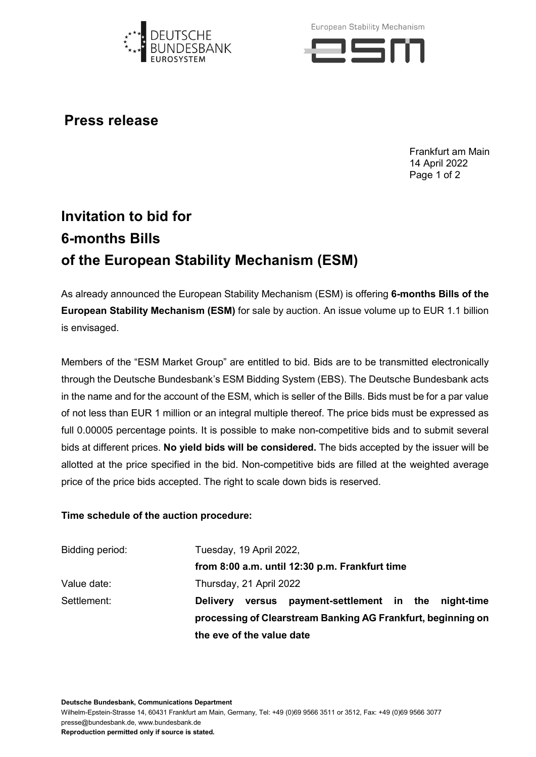

European Stability Mechanism



**Press release**

Frankfurt am Main 14 April 2022 Page 1 of 2

## **Invitation to bid for 6-months Bills of the European Stability Mechanism (ESM)**

As already announced the European Stability Mechanism (ESM) is offering **6-months Bills of the European Stability Mechanism (ESM)** for sale by auction. An issue volume up to EUR 1.1 billion is envisaged.

Members of the "ESM Market Group" are entitled to bid. Bids are to be transmitted electronically through the Deutsche Bundesbank's ESM Bidding System (EBS). The Deutsche Bundesbank acts in the name and for the account of the ESM, which is seller of the Bills. Bids must be for a par value of not less than EUR 1 million or an integral multiple thereof. The price bids must be expressed as full 0.00005 percentage points. It is possible to make non-competitive bids and to submit several bids at different prices. **No yield bids will be considered.** The bids accepted by the issuer will be allotted at the price specified in the bid. Non-competitive bids are filled at the weighted average price of the price bids accepted. The right to scale down bids is reserved.

## **Time schedule of the auction procedure:**

| Bidding period: | Tuesday, 19 April 2022,                                        |  |
|-----------------|----------------------------------------------------------------|--|
|                 | from 8:00 a.m. until 12:30 p.m. Frankfurt time                 |  |
| Value date:     | Thursday, 21 April 2022                                        |  |
| Settlement:     | versus payment-settlement in the night-time<br><b>Delivery</b> |  |
|                 | processing of Clearstream Banking AG Frankfurt, beginning on   |  |
|                 | the eve of the value date                                      |  |